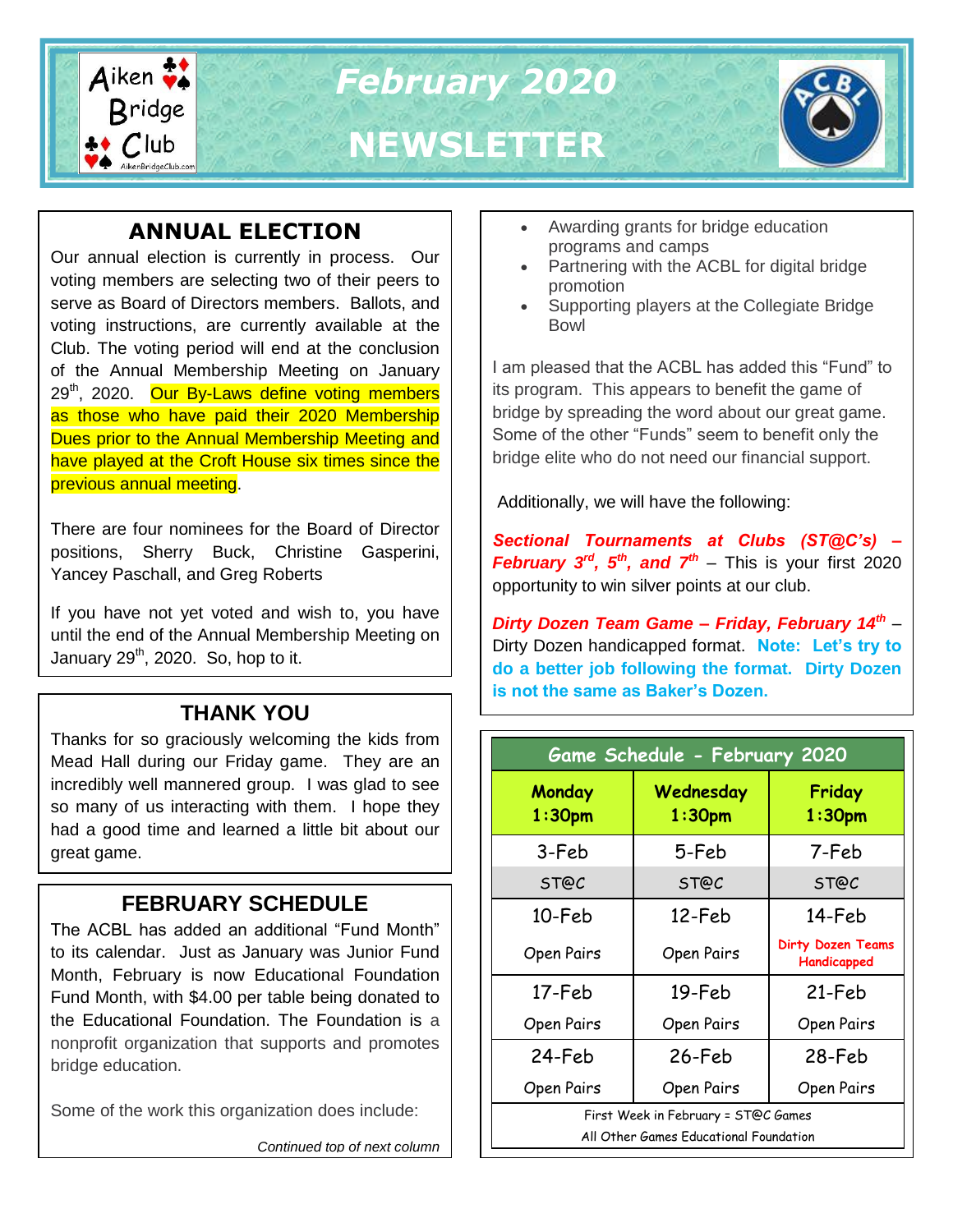

# **ANNUAL ELECTION**

Our annual election is currently in process. Our voting members are selecting two of their peers to serve as Board of Directors members. Ballots, and voting instructions, are currently available at the Club. The voting period will end at the conclusion of the Annual Membership Meeting on January 29<sup>th</sup>, 2020. Our By-Laws define voting members as those who have paid their 2020 Membership Dues prior to the Annual Membership Meeting and have played at the Croft House six times since the previous annual meeting.

There are four nominees for the Board of Director positions, Sherry Buck, Christine Gasperini, Yancey Paschall, and Greg Roberts

If you have not yet voted and wish to, you have until the end of the Annual Membership Meeting on January  $29<sup>th</sup>$ , 2020. So, hop to it.

### **THANK YOU**

Thanks for so graciously welcoming the kids from Mead Hall during our Friday game. They are an incredibly well mannered group. I was glad to see so many of us interacting with them. I hope they had a good time and learned a little bit about our great game.

# **FEBRUARY SCHEDULE**

The ACBL has added an additional "Fund Month" to its calendar. Just as January was Junior Fund Month, February is now Educational Foundation Fund Month, with \$4.00 per table being donated to the Educational Foundation. The Foundation is a nonprofit organization that supports and promotes bridge education.

Some of the work this organization does include:

- Awarding grants for bridge education programs and camps
- Partnering with the ACBL for digital bridge promotion
- Supporting players at the Collegiate Bridge Bowl

I am pleased that the ACBL has added this "Fund" to its program. This appears to benefit the game of bridge by spreading the word about our great game. Some of the other "Funds" seem to benefit only the bridge elite who do not need our financial support.

Additionally, we will have the following:

*Sectional Tournaments at Clubs (ST@C's) – February 3rd, 5th, and 7th* – This is your first 2020 opportunity to win silver points at our club.

*Dirty Dozen Team Game – Friday, February 14th* – Dirty Dozen handicapped format. **Note: Let's try to do a better job following the format. Dirty Dozen is not the same as Baker's Dozen.**

| Game Schedule - February 2020                                                 |                                 |                                         |  |  |  |
|-------------------------------------------------------------------------------|---------------------------------|-----------------------------------------|--|--|--|
| Monday<br>1:30 <sub>pm</sub>                                                  | Wednesday<br>1:30 <sub>pm</sub> | Friday<br>1:30 <sub>pm</sub>            |  |  |  |
| 3-Feb                                                                         | 5-Feb                           | 7-Feb                                   |  |  |  |
| ST@C                                                                          | ST@C                            | ST@C                                    |  |  |  |
| 10-Feb                                                                        | 12-Feb                          | 14-Feb                                  |  |  |  |
| Open Pairs                                                                    | Open Pairs                      | <b>Dirty Dozen Teams</b><br>Handicapped |  |  |  |
| 17-Feb                                                                        | 19-Feb                          | 21-Feb                                  |  |  |  |
| Open Pairs                                                                    | Open Pairs                      | Open Pairs                              |  |  |  |
| 24-Feb                                                                        | 26-Feb                          | 28-Feb                                  |  |  |  |
| Open Pairs                                                                    | Open Pairs                      | Open Pairs                              |  |  |  |
| First Week in February = ST@C Games<br>All Other Games Educational Foundation |                                 |                                         |  |  |  |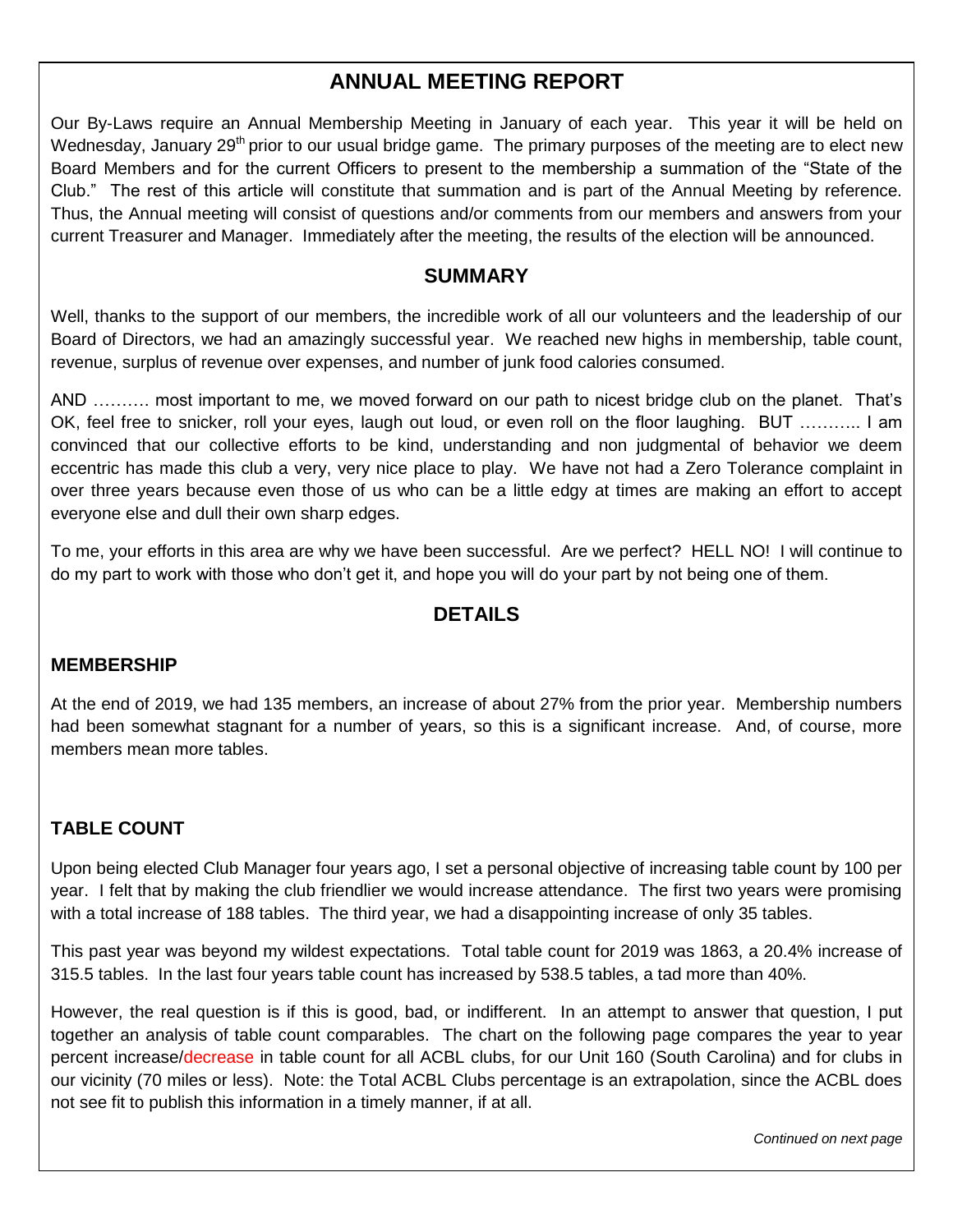## **ANNUAL MEETING REPORT**

Our By-Laws require an Annual Membership Meeting in January of each year. This year it will be held on Wednesday, January 29<sup>th</sup> prior to our usual bridge game. The primary purposes of the meeting are to elect new Board Members and for the current Officers to present to the membership a summation of the "State of the Club." The rest of this article will constitute that summation and is part of the Annual Meeting by reference. Thus, the Annual meeting will consist of questions and/or comments from our members and answers from your current Treasurer and Manager. Immediately after the meeting, the results of the election will be announced.

#### **SUMMARY**

Well, thanks to the support of our members, the incredible work of all our volunteers and the leadership of our Board of Directors, we had an amazingly successful year. We reached new highs in membership, table count, revenue, surplus of revenue over expenses, and number of junk food calories consumed.

AND ………. most important to me, we moved forward on our path to nicest bridge club on the planet. That's OK, feel free to snicker, roll your eyes, laugh out loud, or even roll on the floor laughing. BUT ……….. I am convinced that our collective efforts to be kind, understanding and non judgmental of behavior we deem eccentric has made this club a very, very nice place to play. We have not had a Zero Tolerance complaint in over three years because even those of us who can be a little edgy at times are making an effort to accept everyone else and dull their own sharp edges.

To me, your efforts in this area are why we have been successful. Are we perfect? HELL NO! I will continue to do my part to work with those who don't get it, and hope you will do your part by not being one of them.

### **DETAILS**

#### **MEMBERSHIP**

At the end of 2019, we had 135 members, an increase of about 27% from the prior year. Membership numbers had been somewhat stagnant for a number of years, so this is a significant increase. And, of course, more members mean more tables.

#### **TABLE COUNT**

Upon being elected Club Manager four years ago, I set a personal objective of increasing table count by 100 per year. I felt that by making the club friendlier we would increase attendance. The first two years were promising with a total increase of 188 tables. The third year, we had a disappointing increase of only 35 tables.

This past year was beyond my wildest expectations. Total table count for 2019 was 1863, a 20.4% increase of 315.5 tables. In the last four years table count has increased by 538.5 tables, a tad more than 40%.

However, the real question is if this is good, bad, or indifferent. In an attempt to answer that question, I put together an analysis of table count comparables. The chart on the following page compares the year to year percent increase/decrease in table count for all ACBL clubs, for our Unit 160 (South Carolina) and for clubs in our vicinity (70 miles or less). Note: the Total ACBL Clubs percentage is an extrapolation, since the ACBL does not see fit to publish this information in a timely manner, if at all.

*Continued on next page*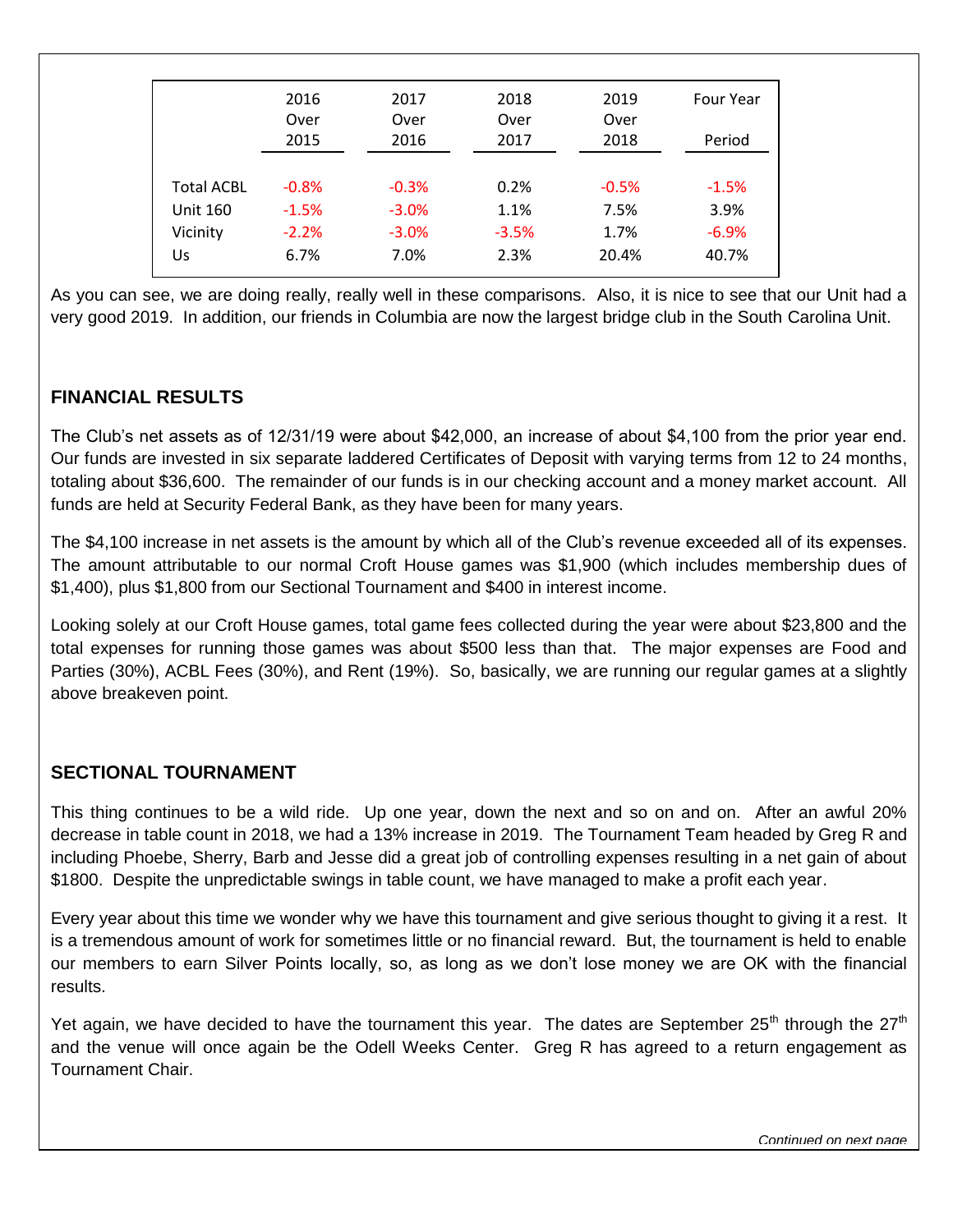|                             | 2016<br>Over<br>2015 | 2017<br>Over<br>2016 | 2018<br>Over<br>2017 | 2019<br>Over<br>2018 | <b>Four Year</b><br>Period |
|-----------------------------|----------------------|----------------------|----------------------|----------------------|----------------------------|
| <b>Total ACBL</b>           | $-0.8%$              | $-0.3%$              | 0.2%                 | $-0.5%$              | $-1.5%$                    |
| <b>Unit 160</b><br>Vicinity | $-1.5%$<br>$-2.2%$   | $-3.0%$<br>$-3.0%$   | 1.1%<br>$-3.5%$      | 7.5%<br>1.7%         | 3.9%<br>$-6.9%$            |
| Us                          | 6.7%                 | 7.0%                 | 2.3%                 | 20.4%                | 40.7%                      |

As you can see, we are doing really, really well in these comparisons. Also, it is nice to see that our Unit had a very good 2019. In addition, our friends in Columbia are now the largest bridge club in the South Carolina Unit.

#### **FINANCIAL RESULTS**

The Club's net assets as of 12/31/19 were about \$42,000, an increase of about \$4,100 from the prior year end. Our funds are invested in six separate laddered Certificates of Deposit with varying terms from 12 to 24 months, totaling about \$36,600. The remainder of our funds is in our checking account and a money market account. All funds are held at Security Federal Bank, as they have been for many years.

The \$4,100 increase in net assets is the amount by which all of the Club's revenue exceeded all of its expenses. The amount attributable to our normal Croft House games was \$1,900 (which includes membership dues of \$1,400), plus \$1,800 from our Sectional Tournament and \$400 in interest income.

Looking solely at our Croft House games, total game fees collected during the year were about \$23,800 and the total expenses for running those games was about \$500 less than that. The major expenses are Food and Parties (30%), ACBL Fees (30%), and Rent (19%). So, basically, we are running our regular games at a slightly above breakeven point.

#### **SECTIONAL TOURNAMENT**

This thing continues to be a wild ride. Up one year, down the next and so on and on. After an awful 20% decrease in table count in 2018, we had a 13% increase in 2019. The Tournament Team headed by Greg R and including Phoebe, Sherry, Barb and Jesse did a great job of controlling expenses resulting in a net gain of about \$1800. Despite the unpredictable swings in table count, we have managed to make a profit each year.

Every year about this time we wonder why we have this tournament and give serious thought to giving it a rest. It is a tremendous amount of work for sometimes little or no financial reward. But, the tournament is held to enable our members to earn Silver Points locally, so, as long as we don't lose money we are OK with the financial results.

Yet again, we have decided to have the tournament this year. The dates are September 25<sup>th</sup> through the 27<sup>th</sup> and the venue will once again be the Odell Weeks Center. Greg R has agreed to a return engagement as Tournament Chair.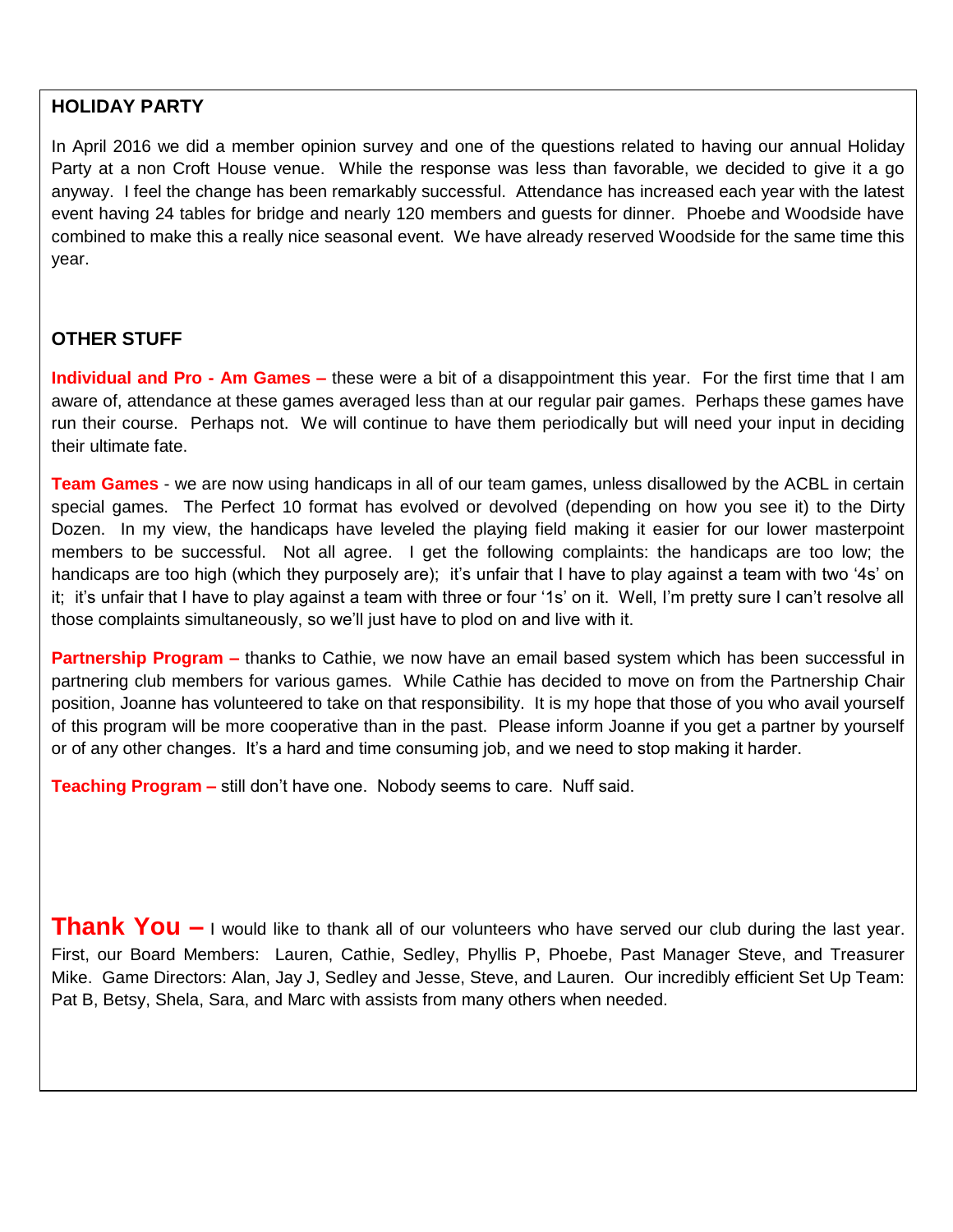### **HOLIDAY PARTY**

In April 2016 we did a member opinion survey and one of the questions related to having our annual Holiday Party at a non Croft House venue. While the response was less than favorable, we decided to give it a go anyway. I feel the change has been remarkably successful. Attendance has increased each year with the latest event having 24 tables for bridge and nearly 120 members and guests for dinner. Phoebe and Woodside have combined to make this a really nice seasonal event. We have already reserved Woodside for the same time this year.

#### **OTHER STUFF**

**Individual and Pro - Am Games –** these were a bit of a disappointment this year. For the first time that I am aware of, attendance at these games averaged less than at our regular pair games. Perhaps these games have run their course. Perhaps not. We will continue to have them periodically but will need your input in deciding their ultimate fate.

**Team Games** - we are now using handicaps in all of our team games, unless disallowed by the ACBL in certain special games. The Perfect 10 format has evolved or devolved (depending on how you see it) to the Dirty Dozen. In my view, the handicaps have leveled the playing field making it easier for our lower masterpoint members to be successful. Not all agree. I get the following complaints: the handicaps are too low; the handicaps are too high (which they purposely are); it's unfair that I have to play against a team with two '4s' on it; it's unfair that I have to play against a team with three or four '1s' on it. Well, I'm pretty sure I can't resolve all those complaints simultaneously, so we'll just have to plod on and live with it.

**Partnership Program –** thanks to Cathie, we now have an email based system which has been successful in partnering club members for various games. While Cathie has decided to move on from the Partnership Chair position, Joanne has volunteered to take on that responsibility. It is my hope that those of you who avail yourself of this program will be more cooperative than in the past. Please inform Joanne if you get a partner by yourself or of any other changes. It's a hard and time consuming job, and we need to stop making it harder.

**Teaching Program –** still don't have one. Nobody seems to care. Nuff said.

**Thank You –** I would like to thank all of our volunteers who have served our club during the last year. First, our Board Members: Lauren, Cathie, Sedley, Phyllis P, Phoebe, Past Manager Steve, and Treasurer Mike. Game Directors: Alan, Jay J, Sedley and Jesse, Steve, and Lauren. Our incredibly efficient Set Up Team: Pat B, Betsy, Shela, Sara, and Marc with assists from many others when needed.